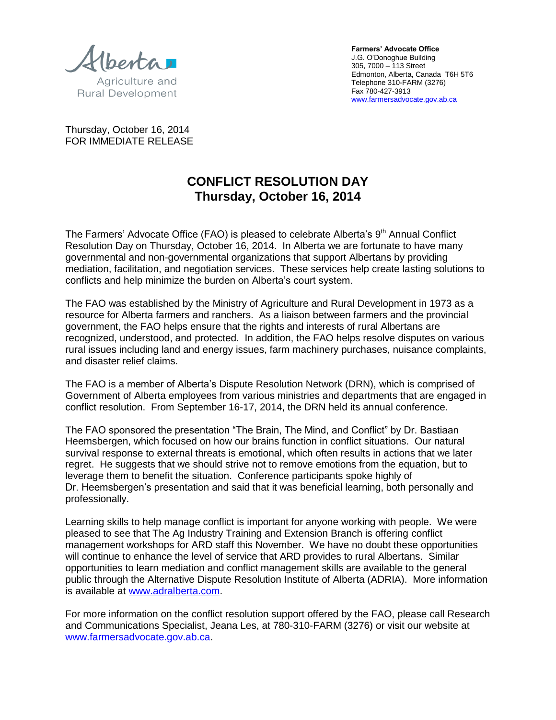Agriculture and

**Rural Development** 

**Farmers' Advocate Office**  J.G. O'Donoghue Building 305, 7000 – 113 Street Edmonton, Alberta, Canada T6H 5T6 Telephone 310-FARM (3276) Fax 780-427-3913 [www.farmersadvocate.gov.ab.ca](http://www.farmersadvocate.gov.ab.ca/)

Thursday, October 16, 2014 FOR IMMEDIATE RELEASE

## **CONFLICT RESOLUTION DAY Thursday, October 16, 2014**

The Farmers' Advocate Office (FAO) is pleased to celebrate Alberta's 9<sup>th</sup> Annual Conflict Resolution Day on Thursday, October 16, 2014. In Alberta we are fortunate to have many governmental and non-governmental organizations that support Albertans by providing mediation, facilitation, and negotiation services. These services help create lasting solutions to conflicts and help minimize the burden on Alberta's court system.

The FAO was established by the Ministry of Agriculture and Rural Development in 1973 as a resource for Alberta farmers and ranchers. As a liaison between farmers and the provincial government, the FAO helps ensure that the rights and interests of rural Albertans are recognized, understood, and protected. In addition, the FAO helps resolve disputes on various rural issues including land and energy issues, farm machinery purchases, nuisance complaints, and disaster relief claims.

The FAO is a member of Alberta's Dispute Resolution Network (DRN), which is comprised of Government of Alberta employees from various ministries and departments that are engaged in conflict resolution. From September 16-17, 2014, the DRN held its annual conference.

The FAO sponsored the presentation "The Brain, The Mind, and Conflict" by Dr. Bastiaan Heemsbergen, which focused on how our brains function in conflict situations. Our natural survival response to external threats is emotional, which often results in actions that we later regret. He suggests that we should strive not to remove emotions from the equation, but to leverage them to benefit the situation. Conference participants spoke highly of Dr. Heemsbergen's presentation and said that it was beneficial learning, both personally and professionally.

Learning skills to help manage conflict is important for anyone working with people. We were pleased to see that The Ag Industry Training and Extension Branch is offering conflict management workshops for ARD staff this November. We have no doubt these opportunities will continue to enhance the level of service that ARD provides to rural Albertans. Similar opportunities to learn mediation and conflict management skills are available to the general public through the Alternative Dispute Resolution Institute of Alberta (ADRIA). More information is available at [www.adralberta.com.](http://www.adralberta.com/)

For more information on the conflict resolution support offered by the FAO, please call Research and Communications Specialist, Jeana Les, at 780-310-FARM (3276) or visit our website at [www.farmersadvocate.gov.ab.ca.](http://www.farmersadvocate.gov.ab.ca/)